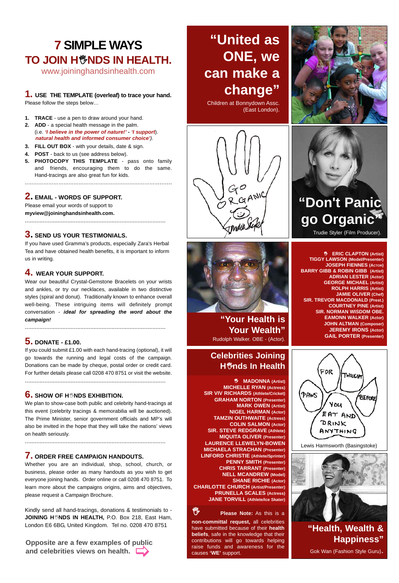# **7 SIMPLE WAYS TO JOIN H<sup>®</sup>NDS IN HEALTH.**

www.joininghandsinhealth.com

#### **1. USE THE TEMPLATE (overleaf) to trace your hand.** Please follow the steps below…

- **1. TRACE**  use a pen to draw around your hand. **2. ADD** - a special health message in the palm.
- (i.e. *'I believe in the power of nature!' - 'I support*). *natural health and informed consumer choice').*
- **3. FILL OUT BOX**  with your details, date & sign.
- **4. POST**  back to us (see address below).
- **5. PHOTOCOPY THIS TEMPLATE**  pass onto family and friends, encouraging them to do the same. Hand-tracings are also great fun for kids. .......................................................................................

### **2. EMAIL - WORDS OF SUPPORT.**

Please email your words of support to **myview@joininghandsinhealth.com.**

#### **3. SEND US YOUR TESTIMONIALS.**

If you have used Gramma's products, especially Zara's Herbal Tea and have obtained health benefits, it is important to inform us in writing.

......................................................................................

### **4. WEAR YOUR SUPPORT.**

Wear our beautiful Crystal-Gemstone Bracelets on your wrists and ankles, or try our necklaces, available in two distinctive styles (spiral and donut). Traditionally known to enhance overall well-being. These intriguing items will definitely prompt conversation - *ideal for spreading the word about the campaign!* 

......................................................................................

### **5. DONATE - £1.00.**

If you could submit £1.00 with each hand-tracing (optional), it will go towards the running and legal costs of the campaign. Donations can be made by cheque, postal order or credit card. For further details please call 0208 470 8751 or visit the website.

......................................................................................

# **6.** SHOW OF H<sup>\*</sup>NDS EXHIBITION.

We plan to show-case both public and celebrity hand-tracings at this event (celebrity tracings & memorabilia will be auctioned). The Prime Minister, senior government officials and MP's will also be invited in the hope that they will take the nations' views on health seriously.

......................................................................................

#### **7. ORDER FREE CAMPAIGN HANDOUTS.**

Whether you are an individual, shop, school, church, or business, please order as many handouts as you wish to get everyone joining hands. Order online or call 0208 470 8751. To learn more about the campaigns origins, aims and objectives, please request a Campaign Brochure.

Kindly send all hand-tracings, donations & testimonials to - **JOINING HNDS IN HEALTH,** P.O. Box 218, East Ham, London E6 6BG, United Kingdom. Tel no. 0208 470 8751

**Opposite are a few examples of public and celebrities views on health.** 

# **"United as ONE, we can make a change"**

Children at Bonnydown Assc. (East London).





**"Your Health is Your Wealth"** Rudolph Walker. OBE - (Actor).

# **Celebrities Joining Hnds In Health**

 **MADONNA (Artist) MICHELLE RYAN (Actress) SIR VIV RICHARDS (Athlete/Cricket) GRAHAM NORTON (Presenter) MARK OWEN (Artist) NIGEL HARMAN (Actor) TAMZIN OUTHWAITE (Actress) COLIN SALMON (Actor) SIR. STEVE REDGRAVE (Athlete) MIQUITA OLIVER (Presenter) LAURENCE LLEWELYN-BOWEN MICHAELA STRACHAN (Presenter) LINFORD CHRISTIE (Athlete/Sprinter) PENNY SMITH (Presenter) CHRIS TARRANT (Presenter) NELL MCANDREW (Model) SHANE RICHIE (Actor) CHARLOTTE CHURCH (Artist/Presenter) PRUNELLA SCALES (Actress) JANE TORVILL (Athlete/Ice Skater)**

# **Please Note:** As this is a

**non-committal request,** all celebrities have submitted because of their **health beliefs**, safe in the knowledge that their contributions will go towards helping raise funds and awareness for the causes **'WE'** support.





# **"Don't Panic go Organic"**

Trudie Styler (Film Producer).

 **ERIC CLAPTON (Artist) TIGGY LAWSON (Model/Presenter) JOSEPH FIENNES (ACTOR) BARRY GIBB & ROBIN GIBB (Artist) ADRIAN LESTER (Actor) GEORGE MICHAEL (Artist) ROLPH HARRIS (Artist) JAMIE OLIVER (Chef) SIR. TREVOR MACDONALD (Prest.) COURTNEY PINE (Artist) SIR. NORMAN WISDOM OBE. EAMONN WALKER (Actor) JOHN ALTMAN (Composer) JEREMY IRONS (Actor) GAIL PORTER (Presenter)**



Lewis Harmsworth (Basingstoke)



**"Health, Wealth & Happiness"** Gok Wan (Fashion Style Guru).